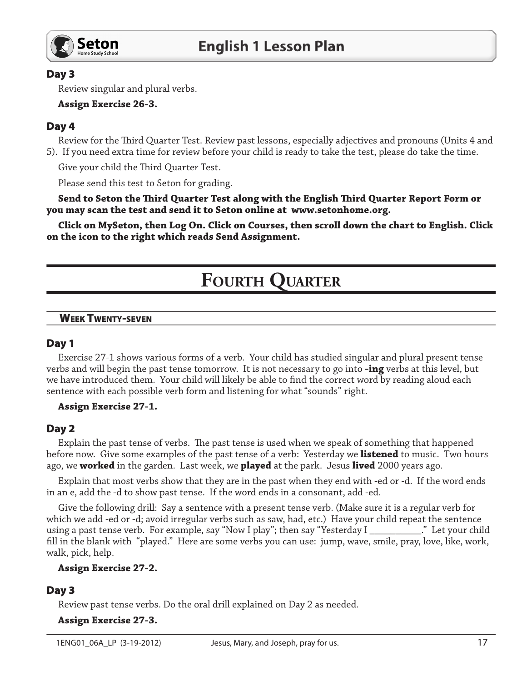

# Day 3

Review singular and plural verbs.

### **Assign Exercise 26-3.**

## Day 4

Review for the Third Quarter Test. Review past lessons, especially adjectives and pronouns (Units 4 and 5). If you need extra time for review before your child is ready to take the test, please do take the time.

Give your child the Third Quarter Test.

Please send this test to Seton for grading.

Send to Seton the Third Quarter Test along with the English Third Quarter Report Form or you may scan the test and send it to Seton online at www.setonhome.org.

Click on MySeton, then Log On. Click on Courses, then scroll down the chart to English. Click on the icon to the right which reads Send Assignment.

# **FOURTH QUARTER**

#### **WEEK TWENTY-SEVEN**

## Day 1

Exercise 27-1 shows various forms of a verb. Your child has studied singular and plural present tense verbs and will begin the past tense tomorrow. It is not necessary to go into **-ing** verbs at this level, but we have introduced them. Your child will likely be able to find the correct word by reading aloud each sentence with each possible verb form and listening for what "sounds" right.

#### **Assign Exercise 27-1.**

## Day 2

Explain the past tense of verbs. The past tense is used when we speak of something that happened before now. Give some examples of the past tense of a verb: Yesterday we **listened** to music. Two hours ago, we **worked** in the garden. Last week, we **played** at the park. Jesus **lived** 2000 years ago.

Explain that most verbs show that they are in the past when they end with -ed or -d. If the word ends in an e, add the -d to show past tense. If the word ends in a consonant, add -ed.

Give the following drill: Say a sentence with a present tense verb. (Make sure it is a regular verb for which we add -ed or -d; avoid irregular verbs such as saw, had, etc.) Have your child repeat the sentence using a past tense verb. For example, say "Now I play"; then say "Yesterday I \_\_\_\_\_\_\_\_\_\_\_." Let your child fill in the blank with "played." Here are some verbs you can use: jump, wave, smile, pray, love, like, work, walk, pick, help.

#### **Assign Exercise 27-2.**

## Day 3

Review past tense verbs. Do the oral drill explained on Day 2 as needed.

**Assign Exercise 27-3.**